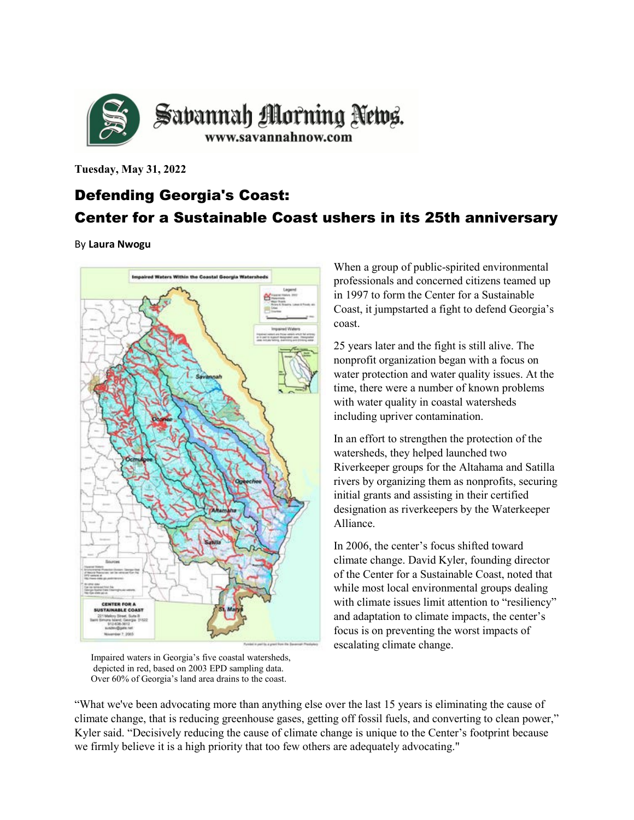

**Tuesday, May 31, 2022**

## Defending Georgia's Coast: Center for a Sustainable Coast ushers in its 25th anniversary

By **[Laura Nwogu](https://www.savannahnow.com/staff/7915983002/laura-nwogu/)**



 Impaired waters in Georgia's five coastal watersheds, depicted in red, based on 2003 EPD sampling data. Over 60% of Georgia's land area drains to the coast.

When a group of public-spirited environmental professionals and concerned citizens teamed up in 1997 to form the Center for a Sustainable Coast, it jumpstarted a fight to defend Georgia's coast.

25 years later and the fight is still alive. The nonprofit organization began with a focus on water protection and water quality issues. At the time, there were a number of known problems with water quality in coastal watersheds including upriver contamination.

In an effort to strengthen the protection of the watersheds, they helped launched two Riverkeeper groups for the Altahama and Satilla rivers by organizing them as nonprofits, securing initial grants and assisting in their certified designation as riverkeepers by the Waterkeeper Alliance.

In 2006, the center's focus shifted toward climate change. David Kyler, founding director of the Center for a Sustainable Coast, noted that while most local environmental groups dealing with climate issues limit attention to "resiliency" and adaptation to climate impacts, the center's focus is on preventing the worst impacts of escalating climate change.

"What we've been advocating more than anything else over the last 15 years is eliminating the cause of climate change, that is reducing greenhouse gases, getting off fossil fuels, and converting to clean power," Kyler said. "Decisively reducing the cause of climate change is unique to the Center's footprint because we firmly believe it is a high priority that too few others are adequately advocating."